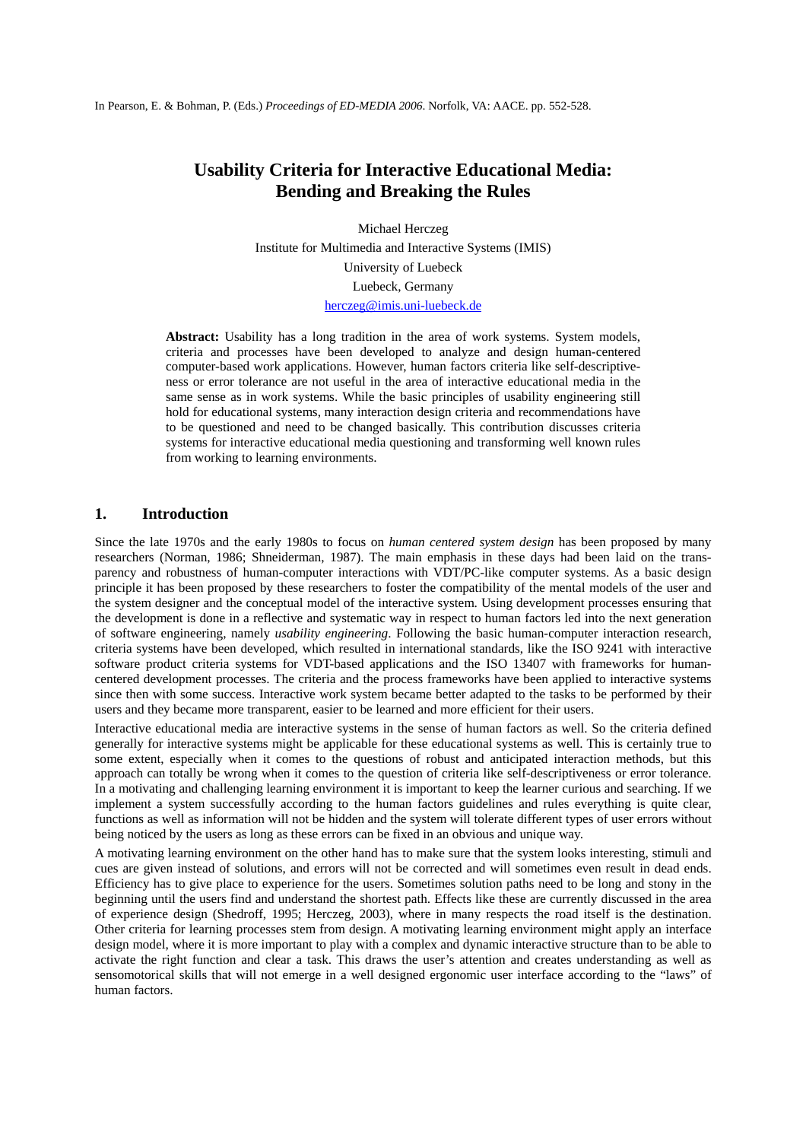In Pearson, E. & Bohman, P. (Eds.) *Proceedings of ED-MEDIA 2006*. Norfolk, VA: AACE. pp. 552-528.

# **Usability Criteria for Interactive Educational Media: Bending and Breaking the Rules**

Michael Herczeg Institute for Multimedia and Interactive Systems (IMIS) University of Luebeck Luebeck, Germany herczeg@imis.uni-luebeck.de

**Abstract:** Usability has a long tradition in the area of work systems. System models, criteria and processes have been developed to analyze and design human-centered computer-based work applications. However, human factors criteria like self-descriptiveness or error tolerance are not useful in the area of interactive educational media in the same sense as in work systems. While the basic principles of usability engineering still hold for educational systems, many interaction design criteria and recommendations have to be questioned and need to be changed basically. This contribution discusses criteria systems for interactive educational media questioning and transforming well known rules from working to learning environments.

## **1. Introduction**

Since the late 1970s and the early 1980s to focus on *human centered system design* has been proposed by many researchers (Norman, 1986; Shneiderman, 1987). The main emphasis in these days had been laid on the transparency and robustness of human-computer interactions with VDT/PC-like computer systems. As a basic design principle it has been proposed by these researchers to foster the compatibility of the mental models of the user and the system designer and the conceptual model of the interactive system. Using development processes ensuring that the development is done in a reflective and systematic way in respect to human factors led into the next generation of software engineering, namely *usability engineering*. Following the basic human-computer interaction research, criteria systems have been developed, which resulted in international standards, like the ISO 9241 with interactive software product criteria systems for VDT-based applications and the ISO 13407 with frameworks for humancentered development processes. The criteria and the process frameworks have been applied to interactive systems since then with some success. Interactive work system became better adapted to the tasks to be performed by their users and they became more transparent, easier to be learned and more efficient for their users.

Interactive educational media are interactive systems in the sense of human factors as well. So the criteria defined generally for interactive systems might be applicable for these educational systems as well. This is certainly true to some extent, especially when it comes to the questions of robust and anticipated interaction methods, but this approach can totally be wrong when it comes to the question of criteria like self-descriptiveness or error tolerance. In a motivating and challenging learning environment it is important to keep the learner curious and searching. If we implement a system successfully according to the human factors guidelines and rules everything is quite clear, functions as well as information will not be hidden and the system will tolerate different types of user errors without being noticed by the users as long as these errors can be fixed in an obvious and unique way.

A motivating learning environment on the other hand has to make sure that the system looks interesting, stimuli and cues are given instead of solutions, and errors will not be corrected and will sometimes even result in dead ends. Efficiency has to give place to experience for the users. Sometimes solution paths need to be long and stony in the beginning until the users find and understand the shortest path. Effects like these are currently discussed in the area of experience design (Shedroff, 1995; Herczeg, 2003), where in many respects the road itself is the destination. Other criteria for learning processes stem from design. A motivating learning environment might apply an interface design model, where it is more important to play with a complex and dynamic interactive structure than to be able to activate the right function and clear a task. This draws the user's attention and creates understanding as well as sensomotorical skills that will not emerge in a well designed ergonomic user interface according to the "laws" of human factors.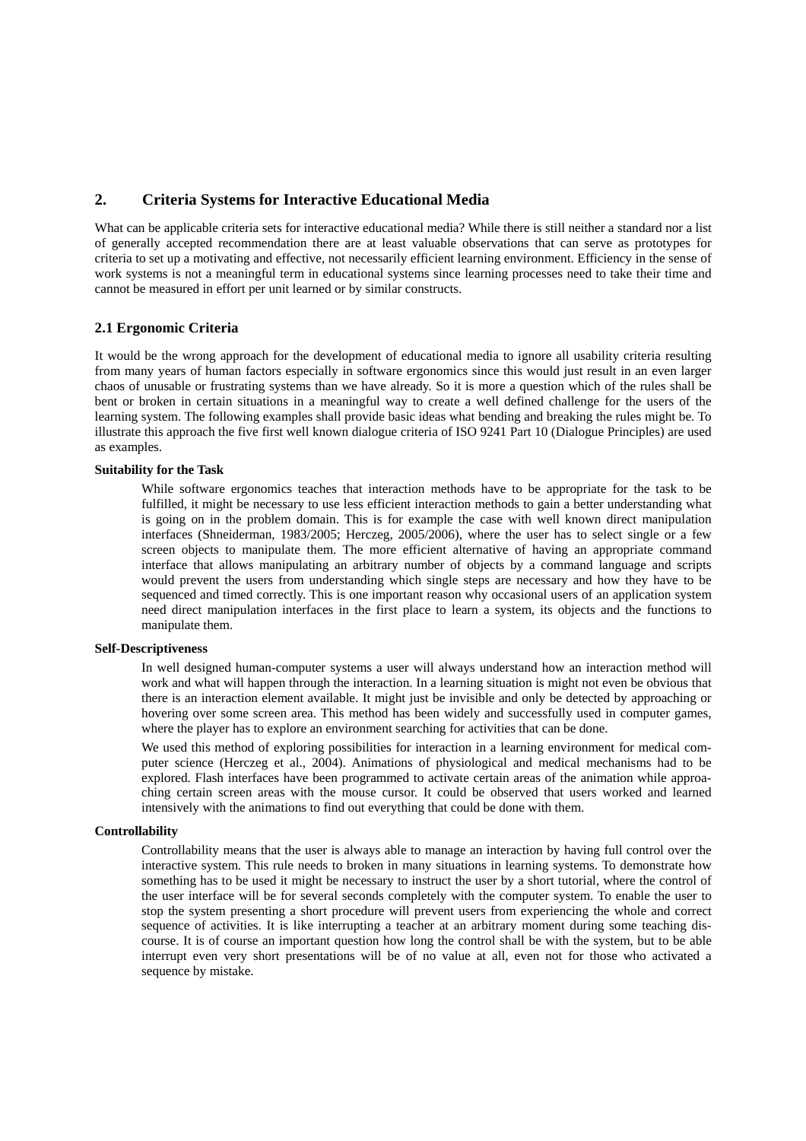## **2. Criteria Systems for Interactive Educational Media**

What can be applicable criteria sets for interactive educational media? While there is still neither a standard nor a list of generally accepted recommendation there are at least valuable observations that can serve as prototypes for criteria to set up a motivating and effective, not necessarily efficient learning environment. Efficiency in the sense of work systems is not a meaningful term in educational systems since learning processes need to take their time and cannot be measured in effort per unit learned or by similar constructs.

### **2.1 Ergonomic Criteria**

It would be the wrong approach for the development of educational media to ignore all usability criteria resulting from many years of human factors especially in software ergonomics since this would just result in an even larger chaos of unusable or frustrating systems than we have already. So it is more a question which of the rules shall be bent or broken in certain situations in a meaningful way to create a well defined challenge for the users of the learning system. The following examples shall provide basic ideas what bending and breaking the rules might be. To illustrate this approach the five first well known dialogue criteria of ISO 9241 Part 10 (Dialogue Principles) are used as examples.

## **Suitability for the Task**

While software ergonomics teaches that interaction methods have to be appropriate for the task to be fulfilled, it might be necessary to use less efficient interaction methods to gain a better understanding what is going on in the problem domain. This is for example the case with well known direct manipulation interfaces (Shneiderman, 1983/2005; Herczeg, 2005/2006), where the user has to select single or a few screen objects to manipulate them. The more efficient alternative of having an appropriate command interface that allows manipulating an arbitrary number of objects by a command language and scripts would prevent the users from understanding which single steps are necessary and how they have to be sequenced and timed correctly. This is one important reason why occasional users of an application system need direct manipulation interfaces in the first place to learn a system, its objects and the functions to manipulate them.

### **Self-Descriptiveness**

In well designed human-computer systems a user will always understand how an interaction method will work and what will happen through the interaction. In a learning situation is might not even be obvious that there is an interaction element available. It might just be invisible and only be detected by approaching or hovering over some screen area. This method has been widely and successfully used in computer games, where the player has to explore an environment searching for activities that can be done.

We used this method of exploring possibilities for interaction in a learning environment for medical computer science (Herczeg et al., 2004). Animations of physiological and medical mechanisms had to be explored. Flash interfaces have been programmed to activate certain areas of the animation while approaching certain screen areas with the mouse cursor. It could be observed that users worked and learned intensively with the animations to find out everything that could be done with them.

#### **Controllability**

Controllability means that the user is always able to manage an interaction by having full control over the interactive system. This rule needs to broken in many situations in learning systems. To demonstrate how something has to be used it might be necessary to instruct the user by a short tutorial, where the control of the user interface will be for several seconds completely with the computer system. To enable the user to stop the system presenting a short procedure will prevent users from experiencing the whole and correct sequence of activities. It is like interrupting a teacher at an arbitrary moment during some teaching discourse. It is of course an important question how long the control shall be with the system, but to be able interrupt even very short presentations will be of no value at all, even not for those who activated a sequence by mistake.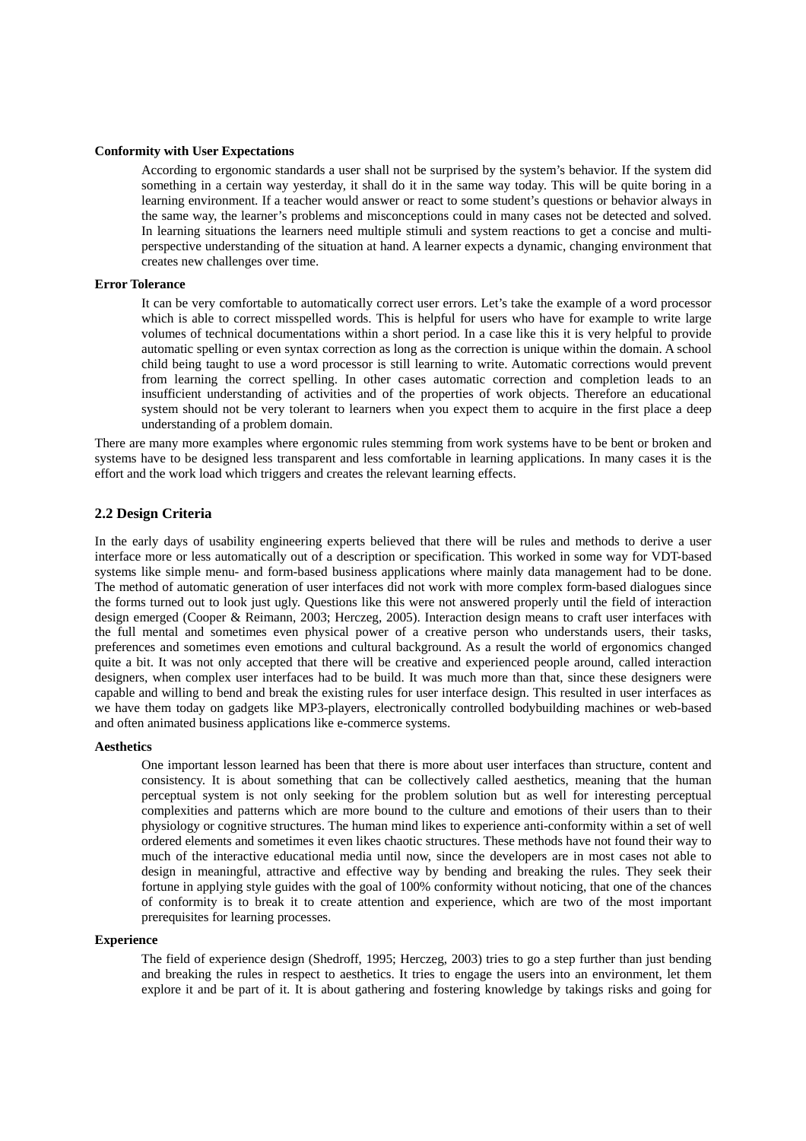#### **Conformity with User Expectations**

According to ergonomic standards a user shall not be surprised by the system's behavior. If the system did something in a certain way yesterday, it shall do it in the same way today. This will be quite boring in a learning environment. If a teacher would answer or react to some student's questions or behavior always in the same way, the learner's problems and misconceptions could in many cases not be detected and solved. In learning situations the learners need multiple stimuli and system reactions to get a concise and multiperspective understanding of the situation at hand. A learner expects a dynamic, changing environment that creates new challenges over time.

#### **Error Tolerance**

It can be very comfortable to automatically correct user errors. Let's take the example of a word processor which is able to correct misspelled words. This is helpful for users who have for example to write large volumes of technical documentations within a short period. In a case like this it is very helpful to provide automatic spelling or even syntax correction as long as the correction is unique within the domain. A school child being taught to use a word processor is still learning to write. Automatic corrections would prevent from learning the correct spelling. In other cases automatic correction and completion leads to an insufficient understanding of activities and of the properties of work objects. Therefore an educational system should not be very tolerant to learners when you expect them to acquire in the first place a deep understanding of a problem domain.

There are many more examples where ergonomic rules stemming from work systems have to be bent or broken and systems have to be designed less transparent and less comfortable in learning applications. In many cases it is the effort and the work load which triggers and creates the relevant learning effects.

### **2.2 Design Criteria**

In the early days of usability engineering experts believed that there will be rules and methods to derive a user interface more or less automatically out of a description or specification. This worked in some way for VDT-based systems like simple menu- and form-based business applications where mainly data management had to be done. The method of automatic generation of user interfaces did not work with more complex form-based dialogues since the forms turned out to look just ugly. Questions like this were not answered properly until the field of interaction design emerged (Cooper & Reimann, 2003; Herczeg, 2005). Interaction design means to craft user interfaces with the full mental and sometimes even physical power of a creative person who understands users, their tasks, preferences and sometimes even emotions and cultural background. As a result the world of ergonomics changed quite a bit. It was not only accepted that there will be creative and experienced people around, called interaction designers, when complex user interfaces had to be build. It was much more than that, since these designers were capable and willing to bend and break the existing rules for user interface design. This resulted in user interfaces as we have them today on gadgets like MP3-players, electronically controlled bodybuilding machines or web-based and often animated business applications like e-commerce systems.

#### **Aesthetics**

One important lesson learned has been that there is more about user interfaces than structure, content and consistency. It is about something that can be collectively called aesthetics, meaning that the human perceptual system is not only seeking for the problem solution but as well for interesting perceptual complexities and patterns which are more bound to the culture and emotions of their users than to their physiology or cognitive structures. The human mind likes to experience anti-conformity within a set of well ordered elements and sometimes it even likes chaotic structures. These methods have not found their way to much of the interactive educational media until now, since the developers are in most cases not able to design in meaningful, attractive and effective way by bending and breaking the rules. They seek their fortune in applying style guides with the goal of 100% conformity without noticing, that one of the chances of conformity is to break it to create attention and experience, which are two of the most important prerequisites for learning processes.

#### **Experience**

The field of experience design (Shedroff, 1995; Herczeg, 2003) tries to go a step further than just bending and breaking the rules in respect to aesthetics. It tries to engage the users into an environment, let them explore it and be part of it. It is about gathering and fostering knowledge by takings risks and going for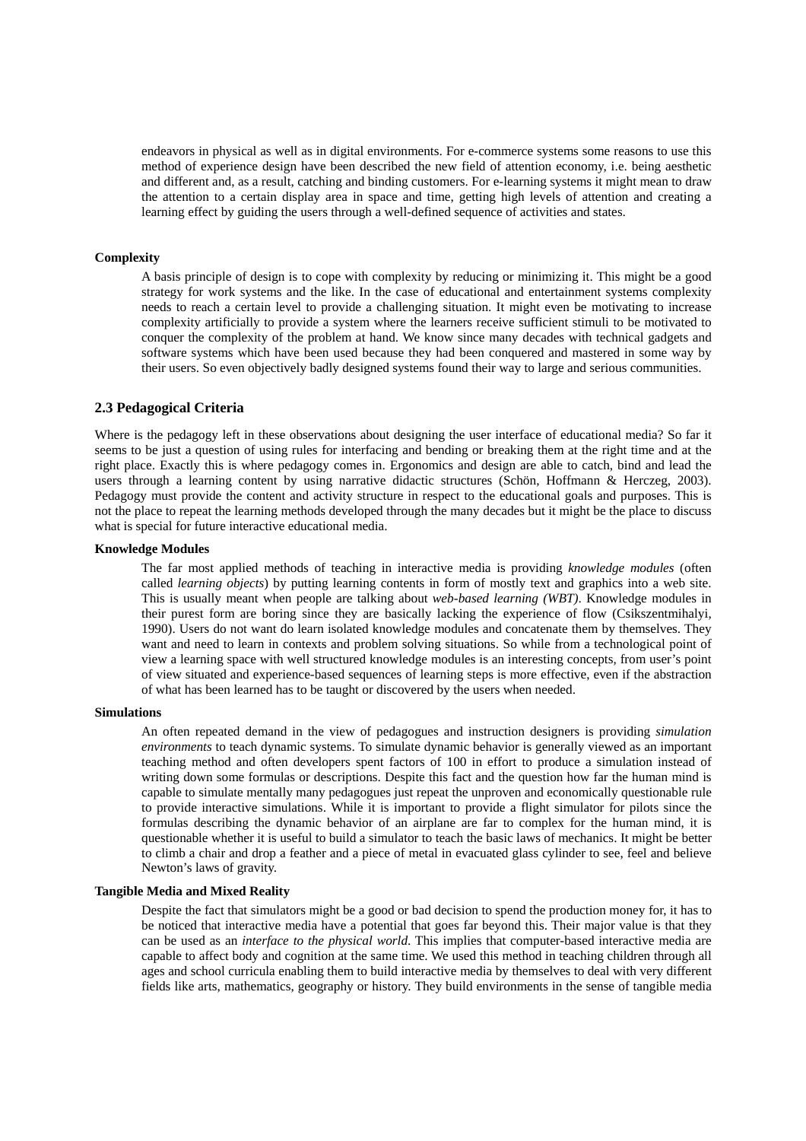endeavors in physical as well as in digital environments. For e-commerce systems some reasons to use this method of experience design have been described the new field of attention economy, i.e. being aesthetic and different and, as a result, catching and binding customers. For e-learning systems it might mean to draw the attention to a certain display area in space and time, getting high levels of attention and creating a learning effect by guiding the users through a well-defined sequence of activities and states.

#### **Complexity**

A basis principle of design is to cope with complexity by reducing or minimizing it. This might be a good strategy for work systems and the like. In the case of educational and entertainment systems complexity needs to reach a certain level to provide a challenging situation. It might even be motivating to increase complexity artificially to provide a system where the learners receive sufficient stimuli to be motivated to conquer the complexity of the problem at hand. We know since many decades with technical gadgets and software systems which have been used because they had been conquered and mastered in some way by their users. So even objectively badly designed systems found their way to large and serious communities.

## **2.3 Pedagogical Criteria**

Where is the pedagogy left in these observations about designing the user interface of educational media? So far it seems to be just a question of using rules for interfacing and bending or breaking them at the right time and at the right place. Exactly this is where pedagogy comes in. Ergonomics and design are able to catch, bind and lead the users through a learning content by using narrative didactic structures (Schön, Hoffmann & Herczeg, 2003). Pedagogy must provide the content and activity structure in respect to the educational goals and purposes. This is not the place to repeat the learning methods developed through the many decades but it might be the place to discuss what is special for future interactive educational media.

#### **Knowledge Modules**

The far most applied methods of teaching in interactive media is providing *knowledge modules* (often called *learning objects*) by putting learning contents in form of mostly text and graphics into a web site. This is usually meant when people are talking about *web-based learning (WBT)*. Knowledge modules in their purest form are boring since they are basically lacking the experience of flow (Csikszentmihalyi, 1990). Users do not want do learn isolated knowledge modules and concatenate them by themselves. They want and need to learn in contexts and problem solving situations. So while from a technological point of view a learning space with well structured knowledge modules is an interesting concepts, from user's point of view situated and experience-based sequences of learning steps is more effective, even if the abstraction of what has been learned has to be taught or discovered by the users when needed.

#### **Simulations**

An often repeated demand in the view of pedagogues and instruction designers is providing *simulation environments* to teach dynamic systems. To simulate dynamic behavior is generally viewed as an important teaching method and often developers spent factors of 100 in effort to produce a simulation instead of writing down some formulas or descriptions. Despite this fact and the question how far the human mind is capable to simulate mentally many pedagogues just repeat the unproven and economically questionable rule to provide interactive simulations. While it is important to provide a flight simulator for pilots since the formulas describing the dynamic behavior of an airplane are far to complex for the human mind, it is questionable whether it is useful to build a simulator to teach the basic laws of mechanics. It might be better to climb a chair and drop a feather and a piece of metal in evacuated glass cylinder to see, feel and believe Newton's laws of gravity.

#### **Tangible Media and Mixed Reality**

Despite the fact that simulators might be a good or bad decision to spend the production money for, it has to be noticed that interactive media have a potential that goes far beyond this. Their major value is that they can be used as an *interface to the physical world*. This implies that computer-based interactive media are capable to affect body and cognition at the same time. We used this method in teaching children through all ages and school curricula enabling them to build interactive media by themselves to deal with very different fields like arts, mathematics, geography or history. They build environments in the sense of tangible media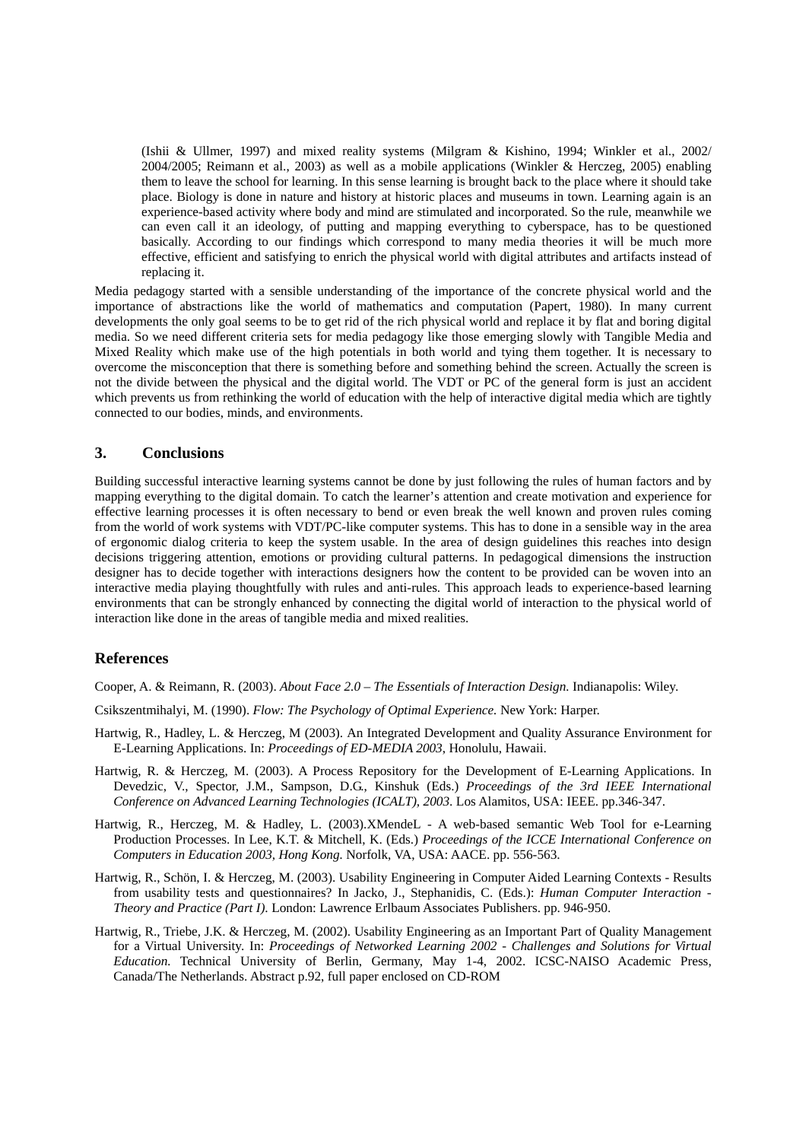(Ishii & Ullmer, 1997) and mixed reality systems (Milgram & Kishino, 1994; Winkler et al., 2002/ 2004/2005; Reimann et al., 2003) as well as a mobile applications (Winkler & Herczeg, 2005) enabling them to leave the school for learning. In this sense learning is brought back to the place where it should take place. Biology is done in nature and history at historic places and museums in town. Learning again is an experience-based activity where body and mind are stimulated and incorporated. So the rule, meanwhile we can even call it an ideology, of putting and mapping everything to cyberspace, has to be questioned basically. According to our findings which correspond to many media theories it will be much more effective, efficient and satisfying to enrich the physical world with digital attributes and artifacts instead of replacing it.

Media pedagogy started with a sensible understanding of the importance of the concrete physical world and the importance of abstractions like the world of mathematics and computation (Papert, 1980). In many current developments the only goal seems to be to get rid of the rich physical world and replace it by flat and boring digital media. So we need different criteria sets for media pedagogy like those emerging slowly with Tangible Media and Mixed Reality which make use of the high potentials in both world and tying them together. It is necessary to overcome the misconception that there is something before and something behind the screen. Actually the screen is not the divide between the physical and the digital world. The VDT or PC of the general form is just an accident which prevents us from rethinking the world of education with the help of interactive digital media which are tightly connected to our bodies, minds, and environments.

## **3. Conclusions**

Building successful interactive learning systems cannot be done by just following the rules of human factors and by mapping everything to the digital domain. To catch the learner's attention and create motivation and experience for effective learning processes it is often necessary to bend or even break the well known and proven rules coming from the world of work systems with VDT/PC-like computer systems. This has to done in a sensible way in the area of ergonomic dialog criteria to keep the system usable. In the area of design guidelines this reaches into design decisions triggering attention, emotions or providing cultural patterns. In pedagogical dimensions the instruction designer has to decide together with interactions designers how the content to be provided can be woven into an interactive media playing thoughtfully with rules and anti-rules. This approach leads to experience-based learning environments that can be strongly enhanced by connecting the digital world of interaction to the physical world of interaction like done in the areas of tangible media and mixed realities.

## **References**

Cooper, A. & Reimann, R. (2003). *About Face 2.0 – The Essentials of Interaction Design.* Indianapolis: Wiley.

Csikszentmihalyi, M. (1990). *Flow: The Psychology of Optimal Experience.* New York: Harper.

- Hartwig, R., Hadley, L. & Herczeg, M (2003). An Integrated Development and Quality Assurance Environment for E-Learning Applications. In: *Proceedings of ED-MEDIA 2003*, Honolulu, Hawaii.
- Hartwig, R. & Herczeg, M. (2003). A Process Repository for the Development of E-Learning Applications. In Devedzic, V., Spector, J.M., Sampson, D.G., Kinshuk (Eds.) *Proceedings of the 3rd IEEE International Conference on Advanced Learning Technologies (ICALT), 2003*. Los Alamitos, USA: IEEE. pp.346-347.
- Hartwig, R., Herczeg, M. & Hadley, L. (2003).XMendeL A web-based semantic Web Tool for e-Learning Production Processes. In Lee, K.T. & Mitchell, K. (Eds.) *Proceedings of the ICCE International Conference on Computers in Education 2003, Hong Kong.* Norfolk, VA, USA: AACE. pp. 556-563.
- Hartwig, R., Schön, I. & Herczeg, M. (2003). Usability Engineering in Computer Aided Learning Contexts Results from usability tests and questionnaires? In Jacko, J., Stephanidis, C. (Eds.): *Human Computer Interaction - Theory and Practice (Part I)*. London: Lawrence Erlbaum Associates Publishers. pp. 946-950.
- Hartwig, R., Triebe, J.K. & Herczeg, M. (2002). Usability Engineering as an Important Part of Quality Management for a Virtual University. In: *Proceedings of Networked Learning 2002 - Challenges and Solutions for Virtual Education.* Technical University of Berlin, Germany, May 1-4, 2002. ICSC-NAISO Academic Press, Canada/The Netherlands. Abstract p.92, full paper enclosed on CD-ROM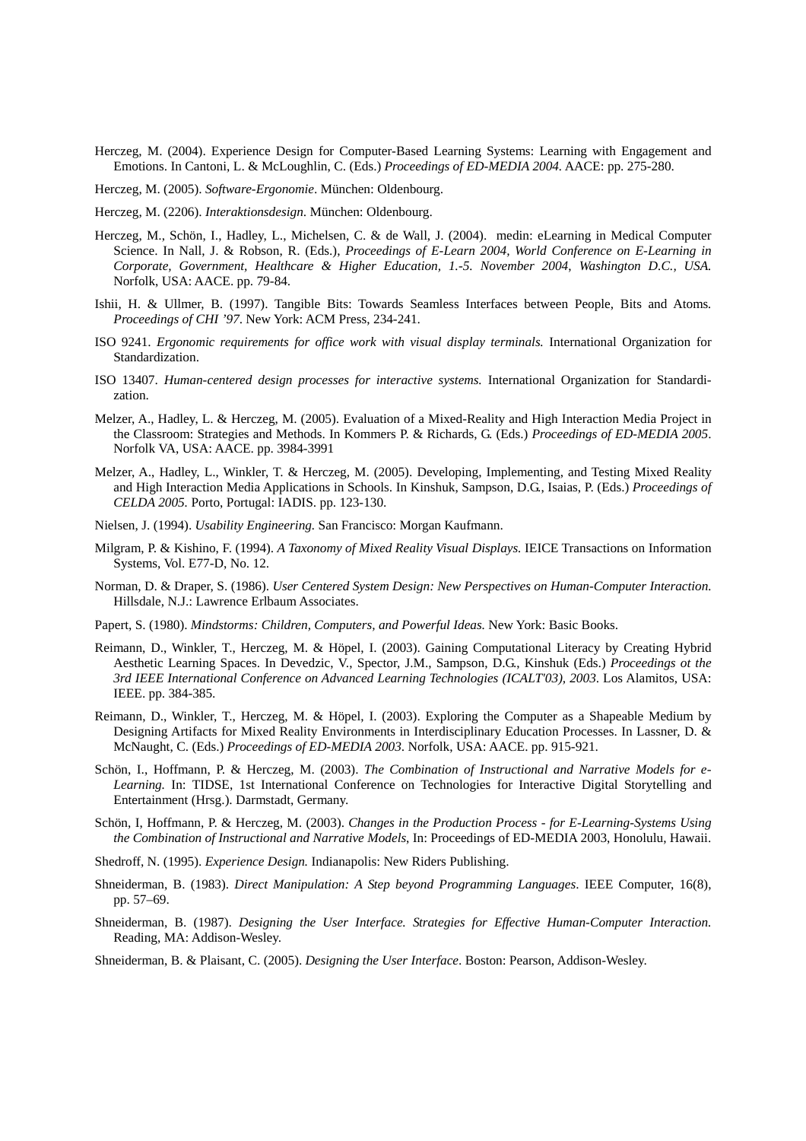- Herczeg, M. (2004). Experience Design for Computer-Based Learning Systems: Learning with Engagement and Emotions. In Cantoni, L. & McLoughlin, C. (Eds.) *Proceedings of ED-MEDIA 2004.* AACE: pp. 275-280.
- Herczeg, M. (2005). *Software-Ergonomie*. München: Oldenbourg.
- Herczeg, M. (2206). *Interaktionsdesign*. München: Oldenbourg.
- Herczeg, M., Schön, I., Hadley, L., Michelsen, C. & de Wall, J. (2004). medin: eLearning in Medical Computer Science. In Nall, J. & Robson, R. (Eds.), *Proceedings of E-Learn 2004, World Conference on E-Learning in Corporate, Government, Healthcare & Higher Education, 1.-5. November 2004*, *Washington D.C., USA.* Norfolk, USA: AACE. pp. 79-84.
- Ishii, H. & Ullmer, B. (1997). Tangible Bits: Towards Seamless Interfaces between People, Bits and Atoms*. Proceedings of CHI '97*. New York: ACM Press, 234-241.
- ISO 9241. *Ergonomic requirements for office work with visual display terminals.* International Organization for Standardization.
- ISO 13407. *Human-centered design processes for interactive systems.* International Organization for Standardization.
- Melzer, A., Hadley, L. & Herczeg, M. (2005). Evaluation of a Mixed-Reality and High Interaction Media Project in the Classroom: Strategies and Methods. In Kommers P. & Richards, G. (Eds.) *Proceedings of ED-MEDIA 2005*. Norfolk VA, USA: AACE. pp. 3984-3991
- Melzer, A., Hadley, L., Winkler, T. & Herczeg, M. (2005). Developing, Implementing, and Testing Mixed Reality and High Interaction Media Applications in Schools. In Kinshuk, Sampson, D.G., Isaias, P. (Eds.) *Proceedings of CELDA 2005.* Porto, Portugal: IADIS. pp. 123-130.
- Nielsen, J. (1994). *Usability Engineering.* San Francisco: Morgan Kaufmann.
- Milgram, P. & Kishino, F. (1994). *A Taxonomy of Mixed Reality Visual Displays.* IEICE Transactions on Information Systems, Vol. E77-D, No. 12.
- Norman, D. & Draper, S. (1986). *User Centered System Design: New Perspectives on Human-Computer Interaction.* Hillsdale, N.J.: Lawrence Erlbaum Associates.
- Papert, S. (1980). *Mindstorms: Children, Computers, and Powerful Ideas.* New York: Basic Books.
- Reimann, D., Winkler, T., Herczeg, M. & Höpel, I. (2003). Gaining Computational Literacy by Creating Hybrid Aesthetic Learning Spaces. In Devedzic, V., Spector, J.M., Sampson, D.G., Kinshuk (Eds.) *Proceedings ot the 3rd IEEE International Conference on Advanced Learning Technologies (ICALT'03), 2003*. Los Alamitos, USA: IEEE. pp. 384-385.
- Reimann, D., Winkler, T., Herczeg, M. & Höpel, I. (2003). Exploring the Computer as a Shapeable Medium by Designing Artifacts for Mixed Reality Environments in Interdisciplinary Education Processes. In Lassner, D. & McNaught, C. (Eds.) *Proceedings of ED-MEDIA 2003*. Norfolk, USA: AACE. pp. 915-921.
- Schön, I., Hoffmann, P. & Herczeg, M. (2003). *The Combination of Instructional and Narrative Models for e-Learning.* In: TIDSE, 1st International Conference on Technologies for Interactive Digital Storytelling and Entertainment (Hrsg.). Darmstadt, Germany.
- Schön, I, Hoffmann, P. & Herczeg, M. (2003). *Changes in the Production Process for E-Learning-Systems Using the Combination of Instructional and Narrative Models*, In: Proceedings of ED-MEDIA 2003, Honolulu, Hawaii.
- Shedroff, N. (1995). *Experience Design.* Indianapolis: New Riders Publishing.
- Shneiderman, B. (1983). *Direct Manipulation: A Step beyond Programming Languages*. IEEE Computer, 16(8), pp. 57–69.
- Shneiderman, B. (1987). *Designing the User Interface. Strategies for Effective Human-Computer Interaction.* Reading, MA: Addison-Wesley.
- Shneiderman, B. & Plaisant, C. (2005). *Designing the User Interface*. Boston: Pearson, Addison-Wesley.